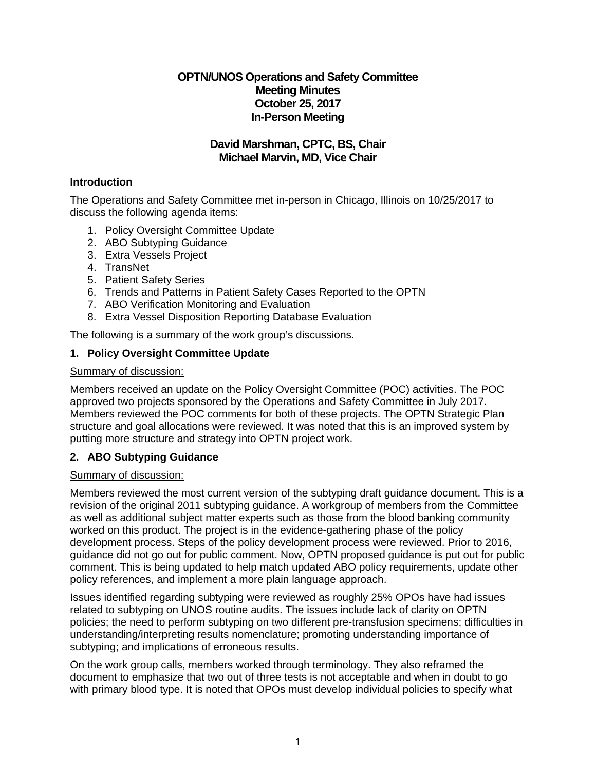# **OPTN/UNOS Operations and Safety Committee Meeting Minutes October 25, 2017 In-Person Meeting**

# **David Marshman, CPTC, BS, Chair Michael Marvin, MD, Vice Chair**

# **Introduction**

The Operations and Safety Committee met in-person in Chicago, Illinois on 10/25/2017 to discuss the following agenda items:

- 1. Policy Oversight Committee Update
- 2. ABO Subtyping Guidance
- 3. Extra Vessels Project
- 4. TransNet
- 5. Patient Safety Series
- 6. Trends and Patterns in Patient Safety Cases Reported to the OPTN
- 7. ABO Verification Monitoring and Evaluation
- 8. Extra Vessel Disposition Reporting Database Evaluation

The following is a summary of the work group's discussions.

# **1. Policy Oversight Committee Update**

## Summary of discussion:

Members received an update on the Policy Oversight Committee (POC) activities. The POC approved two projects sponsored by the Operations and Safety Committee in July 2017. Members reviewed the POC comments for both of these projects. The OPTN Strategic Plan structure and goal allocations were reviewed. It was noted that this is an improved system by putting more structure and strategy into OPTN project work.

## **2. ABO Subtyping Guidance**

## Summary of discussion:

Members reviewed the most current version of the subtyping draft guidance document. This is a revision of the original 2011 subtyping guidance. A workgroup of members from the Committee as well as additional subject matter experts such as those from the blood banking community worked on this product. The project is in the evidence-gathering phase of the policy development process. Steps of the policy development process were reviewed. Prior to 2016, guidance did not go out for public comment. Now, OPTN proposed guidance is put out for public comment. This is being updated to help match updated ABO policy requirements, update other policy references, and implement a more plain language approach.

Issues identified regarding subtyping were reviewed as roughly 25% OPOs have had issues related to subtyping on UNOS routine audits. The issues include lack of clarity on OPTN policies; the need to perform subtyping on two different pre-transfusion specimens; difficulties in understanding/interpreting results nomenclature; promoting understanding importance of subtyping; and implications of erroneous results.

On the work group calls, members worked through terminology. They also reframed the document to emphasize that two out of three tests is not acceptable and when in doubt to go with primary blood type. It is noted that OPOs must develop individual policies to specify what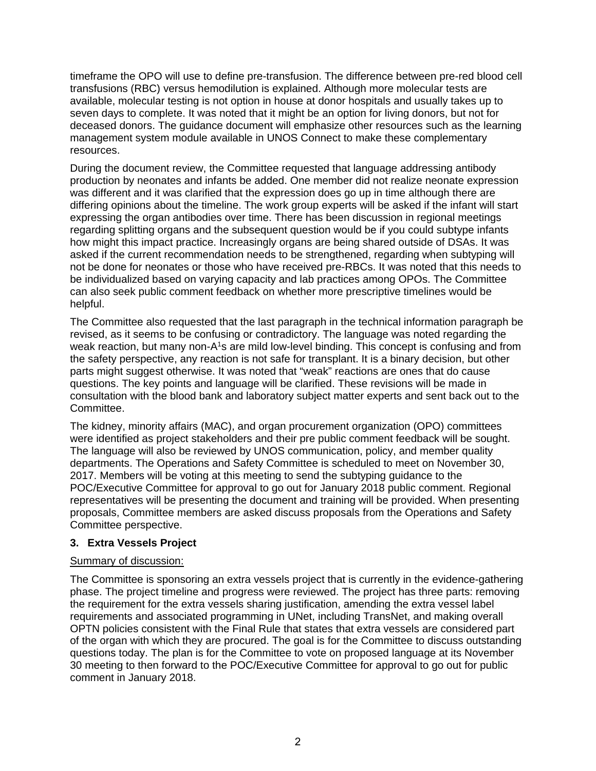timeframe the OPO will use to define pre-transfusion. The difference between pre-red blood cell transfusions (RBC) versus hemodilution is explained. Although more molecular tests are available, molecular testing is not option in house at donor hospitals and usually takes up to seven days to complete. It was noted that it might be an option for living donors, but not for deceased donors. The guidance document will emphasize other resources such as the learning management system module available in UNOS Connect to make these complementary resources.

During the document review, the Committee requested that language addressing antibody production by neonates and infants be added. One member did not realize neonate expression was different and it was clarified that the expression does go up in time although there are differing opinions about the timeline. The work group experts will be asked if the infant will start expressing the organ antibodies over time. There has been discussion in regional meetings regarding splitting organs and the subsequent question would be if you could subtype infants how might this impact practice. Increasingly organs are being shared outside of DSAs. It was asked if the current recommendation needs to be strengthened, regarding when subtyping will not be done for neonates or those who have received pre-RBCs. It was noted that this needs to be individualized based on varying capacity and lab practices among OPOs. The Committee can also seek public comment feedback on whether more prescriptive timelines would be helpful.

The Committee also requested that the last paragraph in the technical information paragraph be revised, as it seems to be confusing or contradictory. The language was noted regarding the weak reaction, but many non-A<sup>1</sup>s are mild low-level binding. This concept is confusing and from the safety perspective, any reaction is not safe for transplant. It is a binary decision, but other parts might suggest otherwise. It was noted that "weak" reactions are ones that do cause questions. The key points and language will be clarified. These revisions will be made in consultation with the blood bank and laboratory subject matter experts and sent back out to the Committee.

The kidney, minority affairs (MAC), and organ procurement organization (OPO) committees were identified as project stakeholders and their pre public comment feedback will be sought. The language will also be reviewed by UNOS communication, policy, and member quality departments. The Operations and Safety Committee is scheduled to meet on November 30, 2017. Members will be voting at this meeting to send the subtyping guidance to the POC/Executive Committee for approval to go out for January 2018 public comment. Regional representatives will be presenting the document and training will be provided. When presenting proposals, Committee members are asked discuss proposals from the Operations and Safety Committee perspective.

## **3. Extra Vessels Project**

#### Summary of discussion:

The Committee is sponsoring an extra vessels project that is currently in the evidence-gathering phase. The project timeline and progress were reviewed. The project has three parts: removing the requirement for the extra vessels sharing justification, amending the extra vessel label requirements and associated programming in UNet, including TransNet, and making overall OPTN policies consistent with the Final Rule that states that extra vessels are considered part of the organ with which they are procured. The goal is for the Committee to discuss outstanding questions today. The plan is for the Committee to vote on proposed language at its November 30 meeting to then forward to the POC/Executive Committee for approval to go out for public comment in January 2018.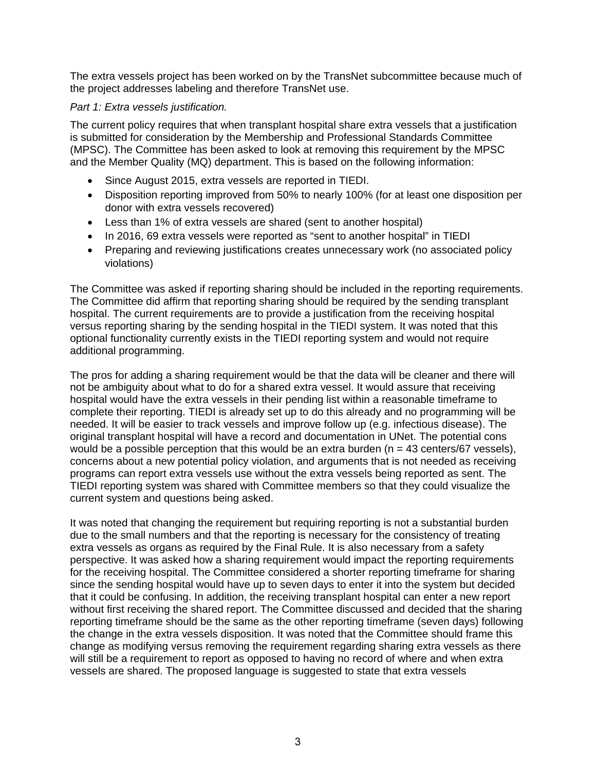The extra vessels project has been worked on by the TransNet subcommittee because much of the project addresses labeling and therefore TransNet use.

# *Part 1: Extra vessels justification.*

The current policy requires that when transplant hospital share extra vessels that a justification is submitted for consideration by the Membership and Professional Standards Committee (MPSC). The Committee has been asked to look at removing this requirement by the MPSC and the Member Quality (MQ) department. This is based on the following information:

- Since August 2015, extra vessels are reported in TIEDI.
- Disposition reporting improved from 50% to nearly 100% (for at least one disposition per donor with extra vessels recovered)
- Less than 1% of extra vessels are shared (sent to another hospital)
- In 2016, 69 extra vessels were reported as "sent to another hospital" in TIEDI
- Preparing and reviewing justifications creates unnecessary work (no associated policy violations)

The Committee was asked if reporting sharing should be included in the reporting requirements. The Committee did affirm that reporting sharing should be required by the sending transplant hospital. The current requirements are to provide a justification from the receiving hospital versus reporting sharing by the sending hospital in the TIEDI system. It was noted that this optional functionality currently exists in the TIEDI reporting system and would not require additional programming.

The pros for adding a sharing requirement would be that the data will be cleaner and there will not be ambiguity about what to do for a shared extra vessel. It would assure that receiving hospital would have the extra vessels in their pending list within a reasonable timeframe to complete their reporting. TIEDI is already set up to do this already and no programming will be needed. It will be easier to track vessels and improve follow up (e.g. infectious disease). The original transplant hospital will have a record and documentation in UNet. The potential cons would be a possible perception that this would be an extra burden ( $n = 43$  centers/67 vessels), concerns about a new potential policy violation, and arguments that is not needed as receiving programs can report extra vessels use without the extra vessels being reported as sent. The TIEDI reporting system was shared with Committee members so that they could visualize the current system and questions being asked.

It was noted that changing the requirement but requiring reporting is not a substantial burden due to the small numbers and that the reporting is necessary for the consistency of treating extra vessels as organs as required by the Final Rule. It is also necessary from a safety perspective. It was asked how a sharing requirement would impact the reporting requirements for the receiving hospital. The Committee considered a shorter reporting timeframe for sharing since the sending hospital would have up to seven days to enter it into the system but decided that it could be confusing. In addition, the receiving transplant hospital can enter a new report without first receiving the shared report. The Committee discussed and decided that the sharing reporting timeframe should be the same as the other reporting timeframe (seven days) following the change in the extra vessels disposition. It was noted that the Committee should frame this change as modifying versus removing the requirement regarding sharing extra vessels as there will still be a requirement to report as opposed to having no record of where and when extra vessels are shared. The proposed language is suggested to state that extra vessels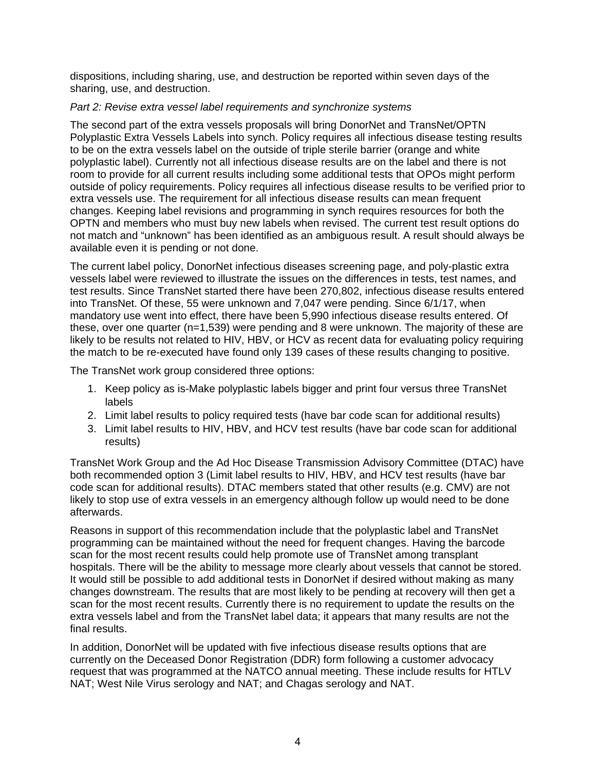dispositions, including sharing, use, and destruction be reported within seven days of the sharing, use, and destruction.

#### *Part 2: Revise extra vessel label requirements and synchronize systems*

The second part of the extra vessels proposals will bring DonorNet and TransNet/OPTN Polyplastic Extra Vessels Labels into synch. Policy requires all infectious disease testing results to be on the extra vessels label on the outside of triple sterile barrier (orange and white polyplastic label). Currently not all infectious disease results are on the label and there is not room to provide for all current results including some additional tests that OPOs might perform outside of policy requirements. Policy requires all infectious disease results to be verified prior to extra vessels use. The requirement for all infectious disease results can mean frequent changes. Keeping label revisions and programming in synch requires resources for both the OPTN and members who must buy new labels when revised. The current test result options do not match and "unknown" has been identified as an ambiguous result. A result should always be available even it is pending or not done.

The current label policy, DonorNet infectious diseases screening page, and poly-plastic extra vessels label were reviewed to illustrate the issues on the differences in tests, test names, and test results. Since TransNet started there have been 270,802, infectious disease results entered into TransNet. Of these, 55 were unknown and 7,047 were pending. Since 6/1/17, when mandatory use went into effect, there have been 5,990 infectious disease results entered. Of these, over one quarter (n=1,539) were pending and 8 were unknown. The majority of these are likely to be results not related to HIV, HBV, or HCV as recent data for evaluating policy requiring the match to be re-executed have found only 139 cases of these results changing to positive.

The TransNet work group considered three options:

- 1. Keep policy as is-Make polyplastic labels bigger and print four versus three TransNet labels
- 2. Limit label results to policy required tests (have bar code scan for additional results)
- 3. Limit label results to HIV, HBV, and HCV test results (have bar code scan for additional results)

TransNet Work Group and the Ad Hoc Disease Transmission Advisory Committee (DTAC) have both recommended option 3 (Limit label results to HIV, HBV, and HCV test results (have bar code scan for additional results). DTAC members stated that other results (e.g. CMV) are not likely to stop use of extra vessels in an emergency although follow up would need to be done afterwards.

Reasons in support of this recommendation include that the polyplastic label and TransNet programming can be maintained without the need for frequent changes. Having the barcode scan for the most recent results could help promote use of TransNet among transplant hospitals. There will be the ability to message more clearly about vessels that cannot be stored. It would still be possible to add additional tests in DonorNet if desired without making as many changes downstream. The results that are most likely to be pending at recovery will then get a scan for the most recent results. Currently there is no requirement to update the results on the extra vessels label and from the TransNet label data; it appears that many results are not the final results.

In addition, DonorNet will be updated with five infectious disease results options that are currently on the Deceased Donor Registration (DDR) form following a customer advocacy request that was programmed at the NATCO annual meeting. These include results for HTLV NAT; West Nile Virus serology and NAT; and Chagas serology and NAT.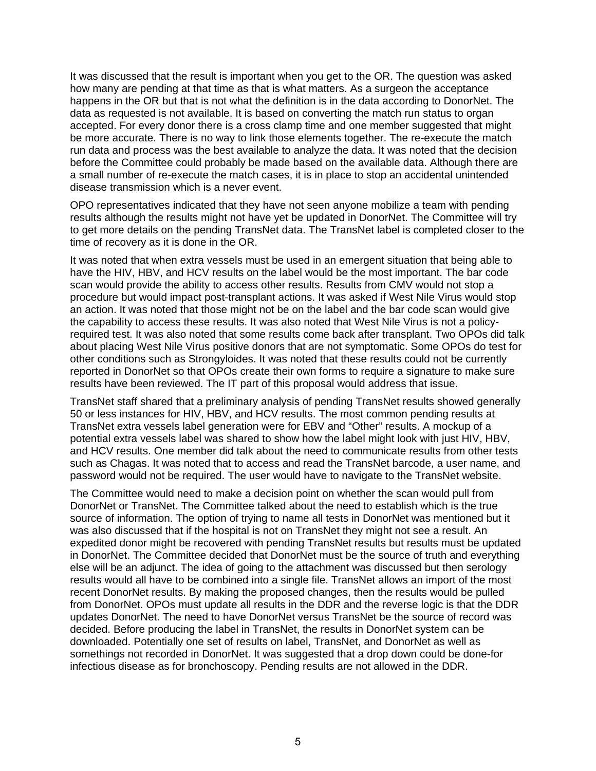It was discussed that the result is important when you get to the OR. The question was asked how many are pending at that time as that is what matters. As a surgeon the acceptance happens in the OR but that is not what the definition is in the data according to DonorNet. The data as requested is not available. It is based on converting the match run status to organ accepted. For every donor there is a cross clamp time and one member suggested that might be more accurate. There is no way to link those elements together. The re-execute the match run data and process was the best available to analyze the data. It was noted that the decision before the Committee could probably be made based on the available data. Although there are a small number of re-execute the match cases, it is in place to stop an accidental unintended disease transmission which is a never event.

OPO representatives indicated that they have not seen anyone mobilize a team with pending results although the results might not have yet be updated in DonorNet. The Committee will try to get more details on the pending TransNet data. The TransNet label is completed closer to the time of recovery as it is done in the OR.

It was noted that when extra vessels must be used in an emergent situation that being able to have the HIV, HBV, and HCV results on the label would be the most important. The bar code scan would provide the ability to access other results. Results from CMV would not stop a procedure but would impact post-transplant actions. It was asked if West Nile Virus would stop an action. It was noted that those might not be on the label and the bar code scan would give the capability to access these results. It was also noted that West Nile Virus is not a policyrequired test. It was also noted that some results come back after transplant. Two OPOs did talk about placing West Nile Virus positive donors that are not symptomatic. Some OPOs do test for other conditions such as Strongyloides. It was noted that these results could not be currently reported in DonorNet so that OPOs create their own forms to require a signature to make sure results have been reviewed. The IT part of this proposal would address that issue.

TransNet staff shared that a preliminary analysis of pending TransNet results showed generally 50 or less instances for HIV, HBV, and HCV results. The most common pending results at TransNet extra vessels label generation were for EBV and "Other" results. A mockup of a potential extra vessels label was shared to show how the label might look with just HIV, HBV, and HCV results. One member did talk about the need to communicate results from other tests such as Chagas. It was noted that to access and read the TransNet barcode, a user name, and password would not be required. The user would have to navigate to the TransNet website.

The Committee would need to make a decision point on whether the scan would pull from DonorNet or TransNet. The Committee talked about the need to establish which is the true source of information. The option of trying to name all tests in DonorNet was mentioned but it was also discussed that if the hospital is not on TransNet they might not see a result. An expedited donor might be recovered with pending TransNet results but results must be updated in DonorNet. The Committee decided that DonorNet must be the source of truth and everything else will be an adjunct. The idea of going to the attachment was discussed but then serology results would all have to be combined into a single file. TransNet allows an import of the most recent DonorNet results. By making the proposed changes, then the results would be pulled from DonorNet. OPOs must update all results in the DDR and the reverse logic is that the DDR updates DonorNet. The need to have DonorNet versus TransNet be the source of record was decided. Before producing the label in TransNet, the results in DonorNet system can be downloaded. Potentially one set of results on label, TransNet, and DonorNet as well as somethings not recorded in DonorNet. It was suggested that a drop down could be done-for infectious disease as for bronchoscopy. Pending results are not allowed in the DDR.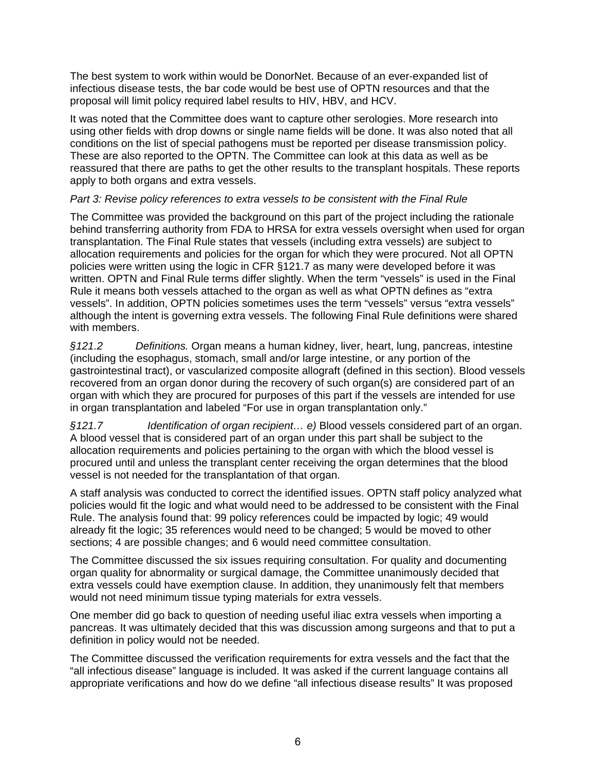The best system to work within would be DonorNet. Because of an ever-expanded list of infectious disease tests, the bar code would be best use of OPTN resources and that the proposal will limit policy required label results to HIV, HBV, and HCV.

It was noted that the Committee does want to capture other serologies. More research into using other fields with drop downs or single name fields will be done. It was also noted that all conditions on the list of special pathogens must be reported per disease transmission policy. These are also reported to the OPTN. The Committee can look at this data as well as be reassured that there are paths to get the other results to the transplant hospitals. These reports apply to both organs and extra vessels.

## *Part 3: Revise policy references to extra vessels to be consistent with the Final Rule*

The Committee was provided the background on this part of the project including the rationale behind transferring authority from FDA to HRSA for extra vessels oversight when used for organ transplantation. The Final Rule states that vessels (including extra vessels) are subject to allocation requirements and policies for the organ for which they were procured. Not all OPTN policies were written using the logic in CFR §121.7 as many were developed before it was written. OPTN and Final Rule terms differ slightly. When the term "vessels" is used in the Final Rule it means both vessels attached to the organ as well as what OPTN defines as "extra vessels". In addition, OPTN policies sometimes uses the term "vessels" versus "extra vessels" although the intent is governing extra vessels. The following Final Rule definitions were shared with members.

*§121.2 Definitions.* Organ means a human kidney, liver, heart, lung, pancreas, intestine (including the esophagus, stomach, small and/or large intestine, or any portion of the gastrointestinal tract), or vascularized composite allograft (defined in this section). Blood vessels recovered from an organ donor during the recovery of such organ(s) are considered part of an organ with which they are procured for purposes of this part if the vessels are intended for use in organ transplantation and labeled "For use in organ transplantation only."

*§121.7 Identification of organ recipient… e)* Blood vessels considered part of an organ. A blood vessel that is considered part of an organ under this part shall be subject to the allocation requirements and policies pertaining to the organ with which the blood vessel is procured until and unless the transplant center receiving the organ determines that the blood vessel is not needed for the transplantation of that organ.

A staff analysis was conducted to correct the identified issues. OPTN staff policy analyzed what policies would fit the logic and what would need to be addressed to be consistent with the Final Rule. The analysis found that: 99 policy references could be impacted by logic; 49 would already fit the logic; 35 references would need to be changed; 5 would be moved to other sections; 4 are possible changes; and 6 would need committee consultation.

The Committee discussed the six issues requiring consultation. For quality and documenting organ quality for abnormality or surgical damage, the Committee unanimously decided that extra vessels could have exemption clause. In addition, they unanimously felt that members would not need minimum tissue typing materials for extra vessels.

One member did go back to question of needing useful iliac extra vessels when importing a pancreas. It was ultimately decided that this was discussion among surgeons and that to put a definition in policy would not be needed.

The Committee discussed the verification requirements for extra vessels and the fact that the "all infectious disease" language is included. It was asked if the current language contains all appropriate verifications and how do we define "all infectious disease results" It was proposed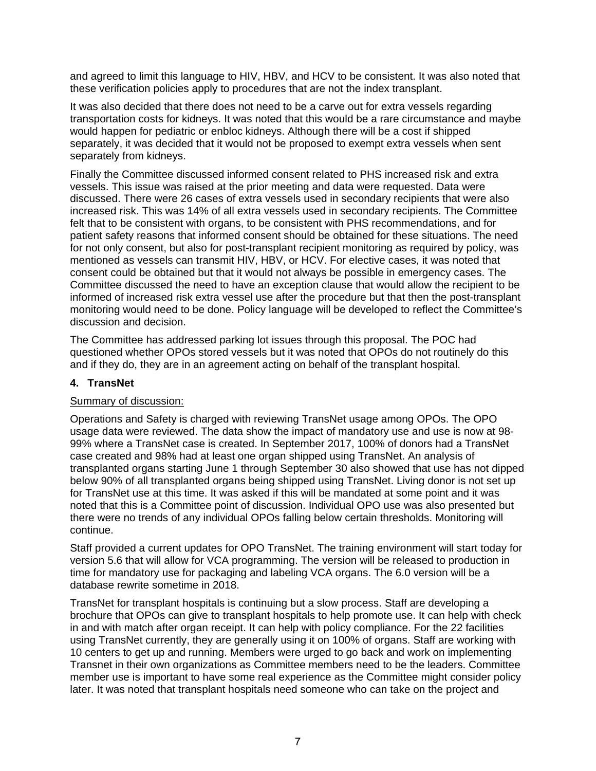and agreed to limit this language to HIV, HBV, and HCV to be consistent. It was also noted that these verification policies apply to procedures that are not the index transplant.

It was also decided that there does not need to be a carve out for extra vessels regarding transportation costs for kidneys. It was noted that this would be a rare circumstance and maybe would happen for pediatric or enbloc kidneys. Although there will be a cost if shipped separately, it was decided that it would not be proposed to exempt extra vessels when sent separately from kidneys.

Finally the Committee discussed informed consent related to PHS increased risk and extra vessels. This issue was raised at the prior meeting and data were requested. Data were discussed. There were 26 cases of extra vessels used in secondary recipients that were also increased risk. This was 14% of all extra vessels used in secondary recipients. The Committee felt that to be consistent with organs, to be consistent with PHS recommendations, and for patient safety reasons that informed consent should be obtained for these situations. The need for not only consent, but also for post-transplant recipient monitoring as required by policy, was mentioned as vessels can transmit HIV, HBV, or HCV. For elective cases, it was noted that consent could be obtained but that it would not always be possible in emergency cases. The Committee discussed the need to have an exception clause that would allow the recipient to be informed of increased risk extra vessel use after the procedure but that then the post-transplant monitoring would need to be done. Policy language will be developed to reflect the Committee's discussion and decision.

The Committee has addressed parking lot issues through this proposal. The POC had questioned whether OPOs stored vessels but it was noted that OPOs do not routinely do this and if they do, they are in an agreement acting on behalf of the transplant hospital.

## **4. TransNet**

#### Summary of discussion:

Operations and Safety is charged with reviewing TransNet usage among OPOs. The OPO usage data were reviewed. The data show the impact of mandatory use and use is now at 98- 99% where a TransNet case is created. In September 2017, 100% of donors had a TransNet case created and 98% had at least one organ shipped using TransNet. An analysis of transplanted organs starting June 1 through September 30 also showed that use has not dipped below 90% of all transplanted organs being shipped using TransNet. Living donor is not set up for TransNet use at this time. It was asked if this will be mandated at some point and it was noted that this is a Committee point of discussion. Individual OPO use was also presented but there were no trends of any individual OPOs falling below certain thresholds. Monitoring will continue.

Staff provided a current updates for OPO TransNet. The training environment will start today for version 5.6 that will allow for VCA programming. The version will be released to production in time for mandatory use for packaging and labeling VCA organs. The 6.0 version will be a database rewrite sometime in 2018.

TransNet for transplant hospitals is continuing but a slow process. Staff are developing a brochure that OPOs can give to transplant hospitals to help promote use. It can help with check in and with match after organ receipt. It can help with policy compliance. For the 22 facilities using TransNet currently, they are generally using it on 100% of organs. Staff are working with 10 centers to get up and running. Members were urged to go back and work on implementing Transnet in their own organizations as Committee members need to be the leaders. Committee member use is important to have some real experience as the Committee might consider policy later. It was noted that transplant hospitals need someone who can take on the project and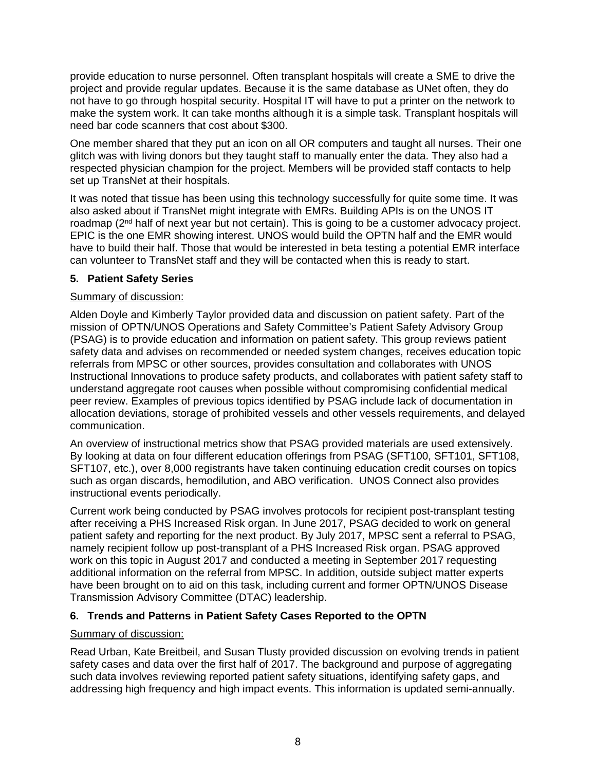provide education to nurse personnel. Often transplant hospitals will create a SME to drive the project and provide regular updates. Because it is the same database as UNet often, they do not have to go through hospital security. Hospital IT will have to put a printer on the network to make the system work. It can take months although it is a simple task. Transplant hospitals will need bar code scanners that cost about \$300.

One member shared that they put an icon on all OR computers and taught all nurses. Their one glitch was with living donors but they taught staff to manually enter the data. They also had a respected physician champion for the project. Members will be provided staff contacts to help set up TransNet at their hospitals.

It was noted that tissue has been using this technology successfully for quite some time. It was also asked about if TransNet might integrate with EMRs. Building APIs is on the UNOS IT roadmap  $(2^{nd}$  half of next year but not certain). This is going to be a customer advocacy project. EPIC is the one EMR showing interest. UNOS would build the OPTN half and the EMR would have to build their half. Those that would be interested in beta testing a potential EMR interface can volunteer to TransNet staff and they will be contacted when this is ready to start.

# **5. Patient Safety Series**

## Summary of discussion:

Alden Doyle and Kimberly Taylor provided data and discussion on patient safety. Part of the mission of OPTN/UNOS Operations and Safety Committee's Patient Safety Advisory Group (PSAG) is to provide education and information on patient safety. This group reviews patient safety data and advises on recommended or needed system changes, receives education topic referrals from MPSC or other sources, provides consultation and collaborates with UNOS Instructional Innovations to produce safety products, and collaborates with patient safety staff to understand aggregate root causes when possible without compromising confidential medical peer review. Examples of previous topics identified by PSAG include lack of documentation in allocation deviations, storage of prohibited vessels and other vessels requirements, and delayed communication.

An overview of instructional metrics show that PSAG provided materials are used extensively. By looking at data on four different education offerings from PSAG (SFT100, SFT101, SFT108, SFT107, etc.), over 8,000 registrants have taken continuing education credit courses on topics such as organ discards, hemodilution, and ABO verification. UNOS Connect also provides instructional events periodically.

Current work being conducted by PSAG involves protocols for recipient post-transplant testing after receiving a PHS Increased Risk organ. In June 2017, PSAG decided to work on general patient safety and reporting for the next product. By July 2017, MPSC sent a referral to PSAG, namely recipient follow up post-transplant of a PHS Increased Risk organ. PSAG approved work on this topic in August 2017 and conducted a meeting in September 2017 requesting additional information on the referral from MPSC. In addition, outside subject matter experts have been brought on to aid on this task, including current and former OPTN/UNOS Disease Transmission Advisory Committee (DTAC) leadership.

# **6. Trends and Patterns in Patient Safety Cases Reported to the OPTN**

## Summary of discussion:

Read Urban, Kate Breitbeil, and Susan Tlusty provided discussion on evolving trends in patient safety cases and data over the first half of 2017. The background and purpose of aggregating such data involves reviewing reported patient safety situations, identifying safety gaps, and addressing high frequency and high impact events. This information is updated semi-annually.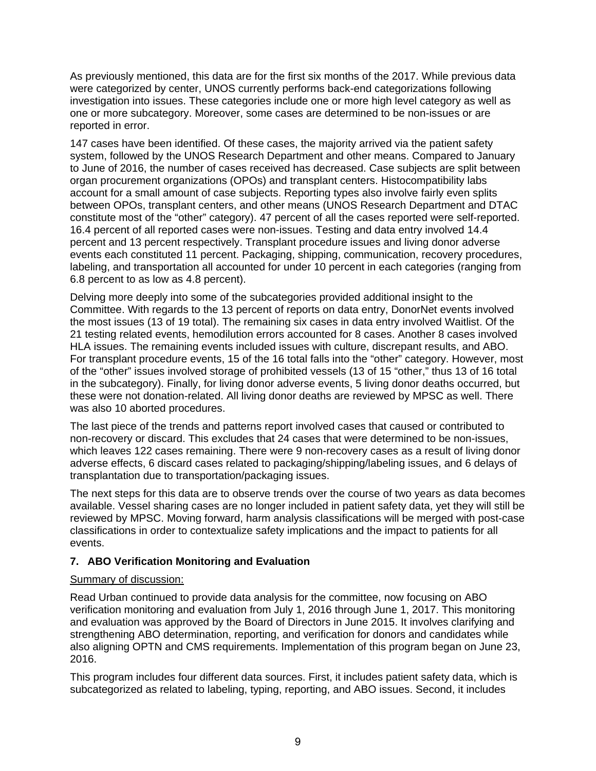As previously mentioned, this data are for the first six months of the 2017. While previous data were categorized by center, UNOS currently performs back-end categorizations following investigation into issues. These categories include one or more high level category as well as one or more subcategory. Moreover, some cases are determined to be non-issues or are reported in error.

147 cases have been identified. Of these cases, the majority arrived via the patient safety system, followed by the UNOS Research Department and other means. Compared to January to June of 2016, the number of cases received has decreased. Case subjects are split between organ procurement organizations (OPOs) and transplant centers. Histocompatibility labs account for a small amount of case subjects. Reporting types also involve fairly even splits between OPOs, transplant centers, and other means (UNOS Research Department and DTAC constitute most of the "other" category). 47 percent of all the cases reported were self-reported. 16.4 percent of all reported cases were non-issues. Testing and data entry involved 14.4 percent and 13 percent respectively. Transplant procedure issues and living donor adverse events each constituted 11 percent. Packaging, shipping, communication, recovery procedures, labeling, and transportation all accounted for under 10 percent in each categories (ranging from 6.8 percent to as low as 4.8 percent).

Delving more deeply into some of the subcategories provided additional insight to the Committee. With regards to the 13 percent of reports on data entry, DonorNet events involved the most issues (13 of 19 total). The remaining six cases in data entry involved Waitlist. Of the 21 testing related events, hemodilution errors accounted for 8 cases. Another 8 cases involved HLA issues. The remaining events included issues with culture, discrepant results, and ABO. For transplant procedure events, 15 of the 16 total falls into the "other" category. However, most of the "other" issues involved storage of prohibited vessels (13 of 15 "other," thus 13 of 16 total in the subcategory). Finally, for living donor adverse events, 5 living donor deaths occurred, but these were not donation-related. All living donor deaths are reviewed by MPSC as well. There was also 10 aborted procedures.

The last piece of the trends and patterns report involved cases that caused or contributed to non-recovery or discard. This excludes that 24 cases that were determined to be non-issues, which leaves 122 cases remaining. There were 9 non-recovery cases as a result of living donor adverse effects, 6 discard cases related to packaging/shipping/labeling issues, and 6 delays of transplantation due to transportation/packaging issues.

The next steps for this data are to observe trends over the course of two years as data becomes available. Vessel sharing cases are no longer included in patient safety data, yet they will still be reviewed by MPSC. Moving forward, harm analysis classifications will be merged with post-case classifications in order to contextualize safety implications and the impact to patients for all events.

# **7. ABO Verification Monitoring and Evaluation**

## Summary of discussion:

Read Urban continued to provide data analysis for the committee, now focusing on ABO verification monitoring and evaluation from July 1, 2016 through June 1, 2017. This monitoring and evaluation was approved by the Board of Directors in June 2015. It involves clarifying and strengthening ABO determination, reporting, and verification for donors and candidates while also aligning OPTN and CMS requirements. Implementation of this program began on June 23, 2016.

This program includes four different data sources. First, it includes patient safety data, which is subcategorized as related to labeling, typing, reporting, and ABO issues. Second, it includes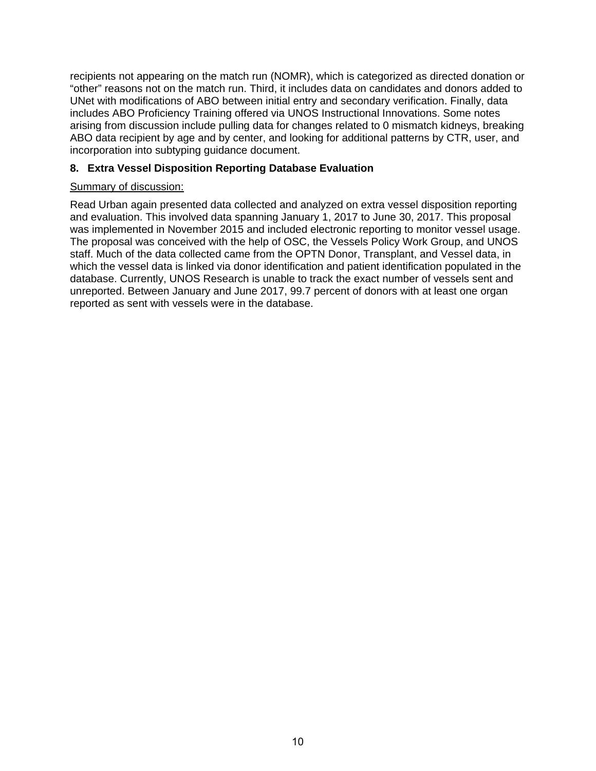recipients not appearing on the match run (NOMR), which is categorized as directed donation or "other" reasons not on the match run. Third, it includes data on candidates and donors added to UNet with modifications of ABO between initial entry and secondary verification. Finally, data includes ABO Proficiency Training offered via UNOS Instructional Innovations. Some notes arising from discussion include pulling data for changes related to 0 mismatch kidneys, breaking ABO data recipient by age and by center, and looking for additional patterns by CTR, user, and incorporation into subtyping guidance document.

# **8. Extra Vessel Disposition Reporting Database Evaluation**

### Summary of discussion:

Read Urban again presented data collected and analyzed on extra vessel disposition reporting and evaluation. This involved data spanning January 1, 2017 to June 30, 2017. This proposal was implemented in November 2015 and included electronic reporting to monitor vessel usage. The proposal was conceived with the help of OSC, the Vessels Policy Work Group, and UNOS staff. Much of the data collected came from the OPTN Donor, Transplant, and Vessel data, in which the vessel data is linked via donor identification and patient identification populated in the database. Currently, UNOS Research is unable to track the exact number of vessels sent and unreported. Between January and June 2017, 99.7 percent of donors with at least one organ reported as sent with vessels were in the database.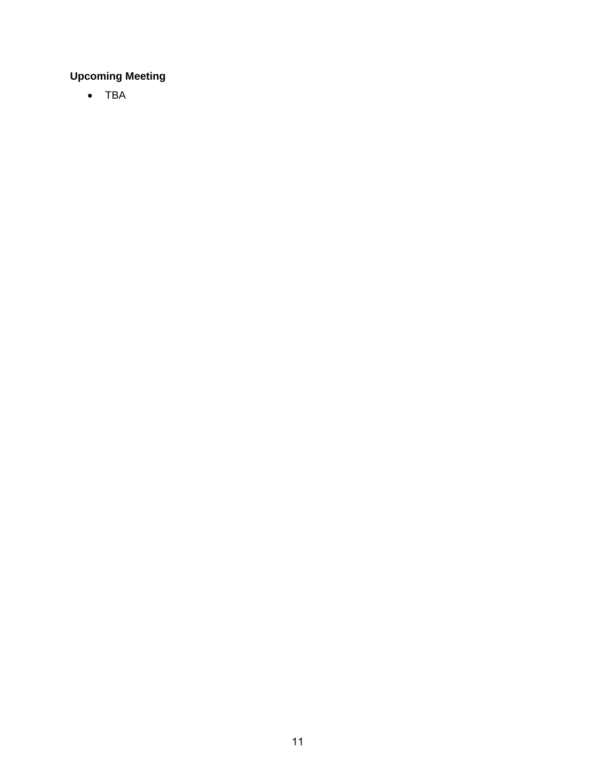# **Upcoming Meeting**

• TBA